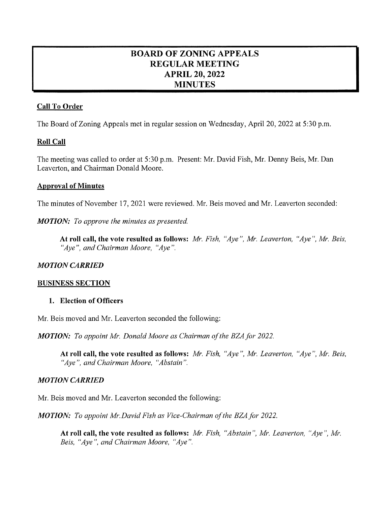# BOARD OF ZONING APPEALS RD OF ZONING APPE<br>REGULAR MEETING **GULAR MEETI<br>APRIL 20, 2022<br>APRILITY** PRIL 20, 20<br>MINUTES

# Call To Order

The Board of Zoning Appeals met in regular session on Wednesday, April 20, 2022 at 5:30 p.m.

# Roll Call

The meeting was called to order at 5:30 p.m. Present: Mr. David Fish, Mr. Denny Beis, Mr. Dan Leaverton, and Chairman Donald Moore.

## **Approval of Minutes**

The minutes of November 17, 2021 were reviewed. Mr. Beis moved and Mr. Leaverton seconded:

**MOTION:** To approve the minutes as presented.

At roll call, the vote resulted as follows: Mr. Fish, "Aye", Mr. Leaverton, "Aye", Mr. Beis, "Aye", and Chairman Moore, "Aye".

# **MOTION CARRIED**

## BUSINESS SECTION

#### 1. Election of Officers

Mr. Beis moved and Mr. Leaverton seconded the following:

MOTION: To appoint Mr. Donald Moore as Chairman of the BZA for 2022.

At roll call, the vote resulted as follows: Mr. Fish, "Aye", Mr. Leaverton, "Aye", Mr. Beis, " $Aye$ ", and Chairman Moore, " $Abstain$ ".

# **MOTION CARRIED**

Mr. Beis moved and Mr. Leaverton seconded the following:

MOTION: To appoint Mr. David Fish as Vice-Chairman of the BZA for 2022.

At roll call, the vote resulted as follows: Mr. Fish, "Abstain", Mr. Leaverton, "Aye", Mr. Beis, "Aye", and Chairman Moore, "Aye".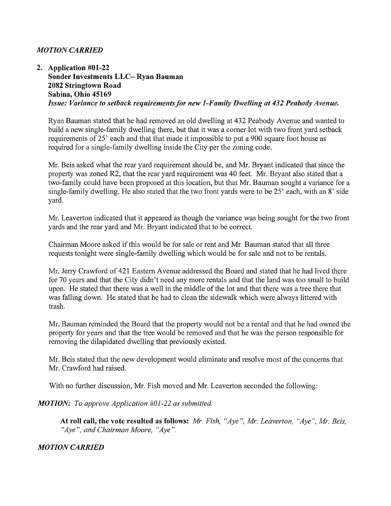## **MOTION CARRIED**

2. Application #01-22 Sonder Investments LLC-Ryan Bauman 2082 Stringtown Road Sabina, Ohio 45169 Issue: Variance to setback requirements for new 1-Family Dwelling at 432 Peabody Avenue.

RyanBauman stated that he had removed an old dwelling at 432 Peabody Avenue and wanted to build a new single-family dwelling there, but that it was a corner lot with two front yard setback requirements of 25' each and that that made it impossible to put a 900 square foot house as required for a single-family dwelling inside the City per the zoning code.

Mr. Beis asked what the rear yard requirement should be, and Mr. Bryant indicated that since the property was zoned R2, that the rear yard requirement was 40 feet. Mr. Bryant also stated that two-family could have been proposed at this location, but that Mr. Bauman sought a variance for a single-family dwelling. He also stated that the two front yards were to be  $25'$  each, with an  $8'$  side yard.

Mr. Leaverton indicated that it appeared as though the variance was being sought for the two front yards and the rear yard and Mr. Bryant indicated that to be correct.

Chairman Moore asked if this would be for sale or rent and Mr. Bauman stated that all three requests tonight were single-family dwelling which would be for sale and not to be rentals.

Mr. Jerry Crawford of 421 Eastern Avenue addressed the Board and stated that he had lived there for 70 years and that the City didn't need any more rentals and that the land was too small to build upon. He stated that there was a well in the middle of the lot and that there was a tree there that was falling down. He stated that he had to clean the sidewalk which were always littered with trash.

Mr. Bauman reminded the Board that the property would not be a rental and that he had owned the property for years and that the tree would be removed and that he was the person responsible for removing the dilapidated dwelling that previously existed.

Mr. Beis stated that the new development would eliminate and resolve most of the concerns that Mr. Crawford had raised.

With no further discussion, Mr. Fish moved and Mr. Leaverton seconded the following:

#### MOTION: To approve Application #01-22 as submitted.

At roll call, the vote resulted as follows: Mr. Fish, "Aye", Mr. Leaverton, "Aye", Mr. Beis, "Aye", and Chairman Moore, "Aye".

#### **MOTION CARRIED**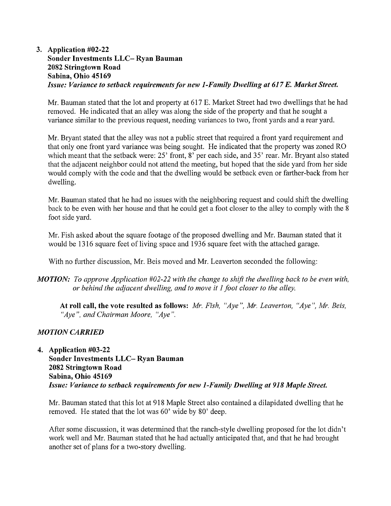# 3. Application #02-22 Sonder Investments LLC-Ryan Bauman 2082 Stringtown Road Sabina, Ohio 45169 Issue: Variance to setback requirements for new 1-Family Dwelling at 617 E. Market Street.

Mr. Bauman stated that the lot and property at 617 E. Market Street had two dwellings that he had removed. He indicated that an alley was along the side of the property and that he sought a variance similar to the previous request, needing variances to two, front yards and a rear yard.

Mr. Bryant stated that the alley was not a public street that required a front yard requirement and that only one front yard variance was being sought. He indicated that the property was zoned RO which meant that the setback were: 25' front, 8' per each side, and 35' rear. Mr. Bryant also stated that the adjacent neighbor could not attend the meeting, but hoped that the side yard from her side would comply with the code and that the dwelling would be setback even or farther-back from her dwelling.

Mr. Bauman stated that he had no issues with the neighboring request and could shift the dwelling back to be even with her house and that he could get a foot closer to the alley to comply with the 8 foot side yard.

Mr. Fish asked about the square footage of the proposed dwelling and Mr. Bauman stated that it would be 1316 square feet of living space and 1936 square feet with the attached garage.

With no further discussion, Mr. Beis moved and Mr. Leaverton seconded the following:

**MOTION:** To approve Application  $#02-22$  with the change to shift the dwelling back to be even with, or behind the adjacent dwelling, and to move it  $I$  foot closer to the alley.

At roll call, the vote resulted as follows: Mr. Fish, "Aye", Mr. Leaverton, "Aye", Mr. Beis, " $Aye$ ", and Chairman Moore, " $Aye$ ".

# **MOTION CARRIED**

4. Application #03-22 Sonder Investments LLC-Ryan Bauman 2082 Stringtown Road Sabina, Ohio 45169 Issue: Variance to setback requirements for new 1-Family Dwelling at 918 Maple Street.

Mr. Bauman stated that this lot at 918 Maple Street also contained a dilapidated dwelling that he removed. He stated that the lot was 60' wide by 80' deep.

After some discussion, it was determined that the ranch-style dwelling proposed for the lot didn't work well and Mr. Bauman stated that he had actually anticipated that, and that he had brought another set of plans for a two-story dwelling.